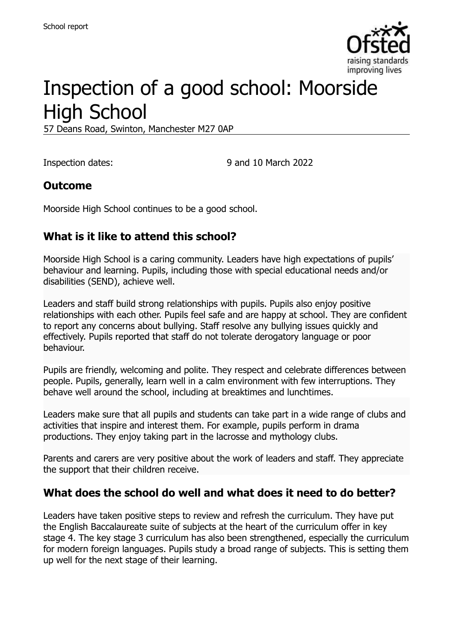

# Inspection of a good school: Moorside High School

57 Deans Road, Swinton, Manchester M27 0AP

Inspection dates: 9 and 10 March 2022

#### **Outcome**

Moorside High School continues to be a good school.

# **What is it like to attend this school?**

Moorside High School is a caring community. Leaders have high expectations of pupils' behaviour and learning. Pupils, including those with special educational needs and/or disabilities (SEND), achieve well.

Leaders and staff build strong relationships with pupils. Pupils also enjoy positive relationships with each other. Pupils feel safe and are happy at school. They are confident to report any concerns about bullying. Staff resolve any bullying issues quickly and effectively. Pupils reported that staff do not tolerate derogatory language or poor behaviour.

Pupils are friendly, welcoming and polite. They respect and celebrate differences between people. Pupils, generally, learn well in a calm environment with few interruptions. They behave well around the school, including at breaktimes and lunchtimes.

Leaders make sure that all pupils and students can take part in a wide range of clubs and activities that inspire and interest them. For example, pupils perform in drama productions. They enjoy taking part in the lacrosse and mythology clubs.

Parents and carers are very positive about the work of leaders and staff. They appreciate the support that their children receive.

#### **What does the school do well and what does it need to do better?**

Leaders have taken positive steps to review and refresh the curriculum. They have put the English Baccalaureate suite of subjects at the heart of the curriculum offer in key stage 4. The key stage 3 curriculum has also been strengthened, especially the curriculum for modern foreign languages. Pupils study a broad range of subjects. This is setting them up well for the next stage of their learning.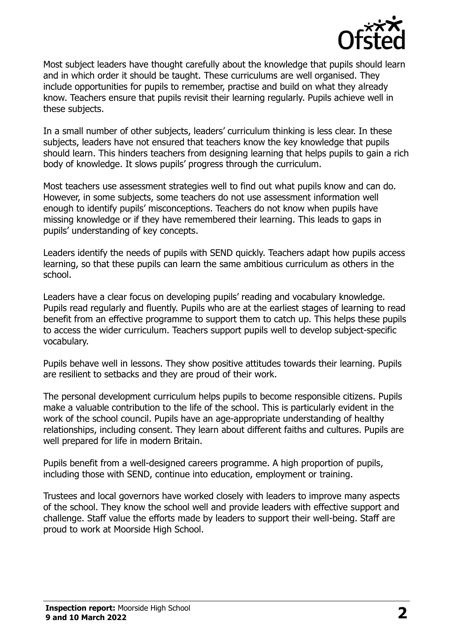

Most subject leaders have thought carefully about the knowledge that pupils should learn and in which order it should be taught. These curriculums are well organised. They include opportunities for pupils to remember, practise and build on what they already know. Teachers ensure that pupils revisit their learning regularly. Pupils achieve well in these subjects.

In a small number of other subjects, leaders' curriculum thinking is less clear. In these subjects, leaders have not ensured that teachers know the key knowledge that pupils should learn. This hinders teachers from designing learning that helps pupils to gain a rich body of knowledge. It slows pupils' progress through the curriculum.

Most teachers use assessment strategies well to find out what pupils know and can do. However, in some subjects, some teachers do not use assessment information well enough to identify pupils' misconceptions. Teachers do not know when pupils have missing knowledge or if they have remembered their learning. This leads to gaps in pupils' understanding of key concepts.

Leaders identify the needs of pupils with SEND quickly. Teachers adapt how pupils access learning, so that these pupils can learn the same ambitious curriculum as others in the school.

Leaders have a clear focus on developing pupils' reading and vocabulary knowledge. Pupils read regularly and fluently. Pupils who are at the earliest stages of learning to read benefit from an effective programme to support them to catch up. This helps these pupils to access the wider curriculum. Teachers support pupils well to develop subject-specific vocabulary.

Pupils behave well in lessons. They show positive attitudes towards their learning. Pupils are resilient to setbacks and they are proud of their work.

The personal development curriculum helps pupils to become responsible citizens. Pupils make a valuable contribution to the life of the school. This is particularly evident in the work of the school council. Pupils have an age-appropriate understanding of healthy relationships, including consent. They learn about different faiths and cultures. Pupils are well prepared for life in modern Britain.

Pupils benefit from a well-designed careers programme. A high proportion of pupils, including those with SEND, continue into education, employment or training.

Trustees and local governors have worked closely with leaders to improve many aspects of the school. They know the school well and provide leaders with effective support and challenge. Staff value the efforts made by leaders to support their well-being. Staff are proud to work at Moorside High School.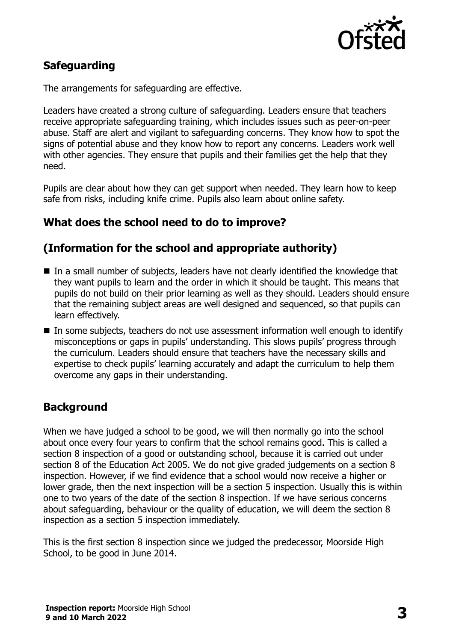

# **Safeguarding**

The arrangements for safeguarding are effective.

Leaders have created a strong culture of safeguarding. Leaders ensure that teachers receive appropriate safeguarding training, which includes issues such as peer-on-peer abuse. Staff are alert and vigilant to safeguarding concerns. They know how to spot the signs of potential abuse and they know how to report any concerns. Leaders work well with other agencies. They ensure that pupils and their families get the help that they need.

Pupils are clear about how they can get support when needed. They learn how to keep safe from risks, including knife crime. Pupils also learn about online safety.

#### **What does the school need to do to improve?**

# **(Information for the school and appropriate authority)**

- In a small number of subjects, leaders have not clearly identified the knowledge that they want pupils to learn and the order in which it should be taught. This means that pupils do not build on their prior learning as well as they should. Leaders should ensure that the remaining subject areas are well designed and sequenced, so that pupils can learn effectively.
- In some subjects, teachers do not use assessment information well enough to identify misconceptions or gaps in pupils' understanding. This slows pupils' progress through the curriculum. Leaders should ensure that teachers have the necessary skills and expertise to check pupils' learning accurately and adapt the curriculum to help them overcome any gaps in their understanding.

# **Background**

When we have judged a school to be good, we will then normally go into the school about once every four years to confirm that the school remains good. This is called a section 8 inspection of a good or outstanding school, because it is carried out under section 8 of the Education Act 2005. We do not give graded judgements on a section 8 inspection. However, if we find evidence that a school would now receive a higher or lower grade, then the next inspection will be a section 5 inspection. Usually this is within one to two years of the date of the section 8 inspection. If we have serious concerns about safeguarding, behaviour or the quality of education, we will deem the section 8 inspection as a section 5 inspection immediately.

This is the first section 8 inspection since we judged the predecessor, Moorside High School, to be good in June 2014.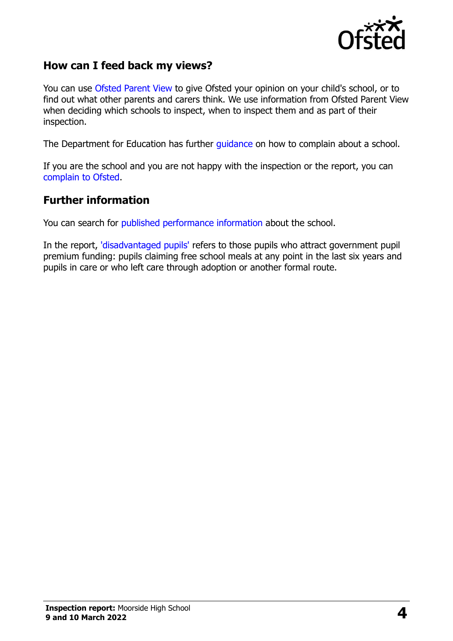

#### **How can I feed back my views?**

You can use [Ofsted Parent View](https://parentview.ofsted.gov.uk/) to give Ofsted your opinion on your child's school, or to find out what other parents and carers think. We use information from Ofsted Parent View when deciding which schools to inspect, when to inspect them and as part of their inspection.

The Department for Education has further [guidance](http://www.gov.uk/complain-about-school) on how to complain about a school.

If you are the school and you are not happy with the inspection or the report, you can [complain to Ofsted.](https://www.gov.uk/complain-ofsted-report)

#### **Further information**

You can search for [published performance information](http://www.compare-school-performance.service.gov.uk/) about the school.

In the report, ['disadvantaged pupils'](http://www.gov.uk/guidance/pupil-premium-information-for-schools-and-alternative-provision-settings) refers to those pupils who attract government pupil premium funding: pupils claiming free school meals at any point in the last six years and pupils in care or who left care through adoption or another formal route.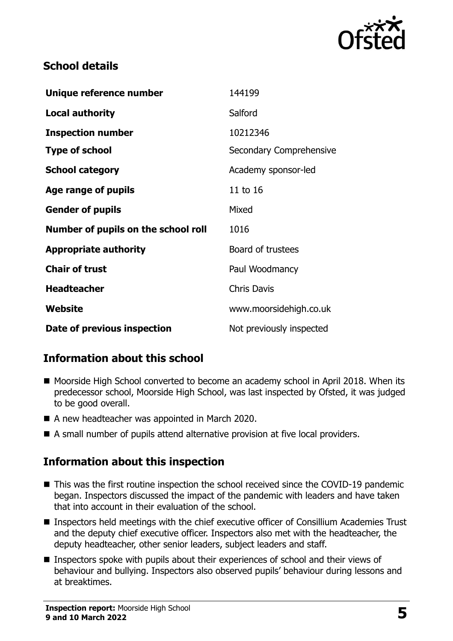

#### **School details**

| Unique reference number             | 144199                   |
|-------------------------------------|--------------------------|
| <b>Local authority</b>              | Salford                  |
| <b>Inspection number</b>            | 10212346                 |
| <b>Type of school</b>               | Secondary Comprehensive  |
| <b>School category</b>              | Academy sponsor-led      |
| Age range of pupils                 | 11 to 16                 |
| <b>Gender of pupils</b>             | Mixed                    |
| Number of pupils on the school roll | 1016                     |
| <b>Appropriate authority</b>        | Board of trustees        |
| <b>Chair of trust</b>               | Paul Woodmancy           |
| <b>Headteacher</b>                  | <b>Chris Davis</b>       |
| Website                             | www.moorsidehigh.co.uk   |
| Date of previous inspection         | Not previously inspected |

# **Information about this school**

- Moorside High School converted to become an academy school in April 2018. When its predecessor school, Moorside High School, was last inspected by Ofsted, it was judged to be good overall.
- A new headteacher was appointed in March 2020.
- A small number of pupils attend alternative provision at five local providers.

# **Information about this inspection**

- This was the first routine inspection the school received since the COVID-19 pandemic began. Inspectors discussed the impact of the pandemic with leaders and have taken that into account in their evaluation of the school.
- Inspectors held meetings with the chief executive officer of Consillium Academies Trust and the deputy chief executive officer. Inspectors also met with the headteacher, the deputy headteacher, other senior leaders, subject leaders and staff.
- Inspectors spoke with pupils about their experiences of school and their views of behaviour and bullying. Inspectors also observed pupils' behaviour during lessons and at breaktimes.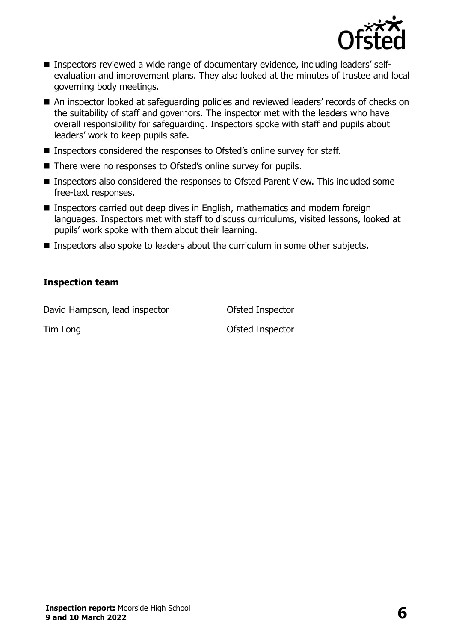

- Inspectors reviewed a wide range of documentary evidence, including leaders' selfevaluation and improvement plans. They also looked at the minutes of trustee and local governing body meetings.
- An inspector looked at safeguarding policies and reviewed leaders' records of checks on the suitability of staff and governors. The inspector met with the leaders who have overall responsibility for safeguarding. Inspectors spoke with staff and pupils about leaders' work to keep pupils safe.
- Inspectors considered the responses to Ofsted's online survey for staff.
- There were no responses to Ofsted's online survey for pupils.
- Inspectors also considered the responses to Ofsted Parent View. This included some free-text responses.
- Inspectors carried out deep dives in English, mathematics and modern foreign languages. Inspectors met with staff to discuss curriculums, visited lessons, looked at pupils' work spoke with them about their learning.
- Inspectors also spoke to leaders about the curriculum in some other subjects.

#### **Inspection team**

David Hampson, lead inspector **Conservation Conservation** Ofsted Inspector

Tim Long **Contract Contract Contract Contract Contract Contract Contract Contract Contract Contract Contract Contract Contract Contract Contract Contract Contract Contract Contract Contract Contract Contract Contract Contr**